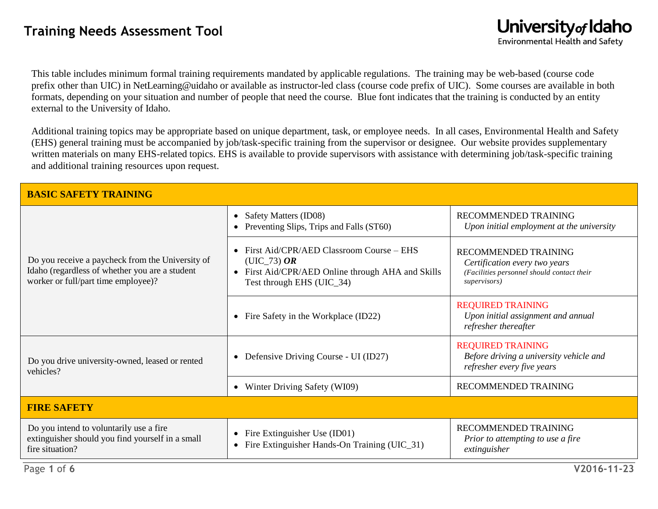This table includes minimum formal training requirements mandated by applicable regulations. The training may be web-based (course code prefix other than UIC) in NetLearning@uidaho or available as instructor-led class (course code prefix of UIC). Some courses are available in both formats, depending on your situation and number of people that need the course. Blue font indicates that the training is conducted by an entity external to the University of Idaho.

Additional training topics may be appropriate based on unique department, task, or employee needs. In all cases, Environmental Health and Safety (EHS) general training must be accompanied by job/task-specific training from the supervisor or designee. Our website provides supplementary written materials on many EHS-related topics. EHS is available to provide supervisors with assistance with determining job/task-specific training and additional training resources upon request.

| <b>BASIC SAFETY TRAINING</b>                                                                                                              |                                                                                                                                           |                                                                                                                     |
|-------------------------------------------------------------------------------------------------------------------------------------------|-------------------------------------------------------------------------------------------------------------------------------------------|---------------------------------------------------------------------------------------------------------------------|
| Do you receive a paycheck from the University of<br>Idaho (regardless of whether you are a student<br>worker or full/part time employee)? | Safety Matters (ID08)<br>$\bullet$<br>Preventing Slips, Trips and Falls (ST60)<br>$\bullet$                                               | <b>RECOMMENDED TRAINING</b><br>Upon initial employment at the university                                            |
|                                                                                                                                           | First Aid/CPR/AED Classroom Course – EHS<br>$(UIC_73)$ OR<br>First Aid/CPR/AED Online through AHA and Skills<br>Test through EHS (UIC_34) | RECOMMENDED TRAINING<br>Certification every two years<br>(Facilities personnel should contact their<br>supervisors) |
|                                                                                                                                           | Fire Safety in the Workplace (ID22)<br>$\bullet$                                                                                          | <b>REQUIRED TRAINING</b><br>Upon initial assignment and annual<br>refresher thereafter                              |
| Do you drive university-owned, leased or rented<br>vehicles?                                                                              | Defensive Driving Course - UI (ID27)<br>$\bullet$                                                                                         | <b>REQUIRED TRAINING</b><br>Before driving a university vehicle and<br>refresher every five years                   |
|                                                                                                                                           | Winter Driving Safety (WI09)<br>$\bullet$                                                                                                 | <b>RECOMMENDED TRAINING</b>                                                                                         |
| <b>FIRE SAFETY</b>                                                                                                                        |                                                                                                                                           |                                                                                                                     |
| Do you intend to voluntarily use a fire<br>extinguisher should you find yourself in a small<br>fire situation?                            | Fire Extinguisher Use (ID01)<br>$\bullet$<br>Fire Extinguisher Hands-On Training (UIC_31)<br>$\bullet$                                    | <b>RECOMMENDED TRAINING</b><br>Prior to attempting to use a fire<br>extinguisher                                    |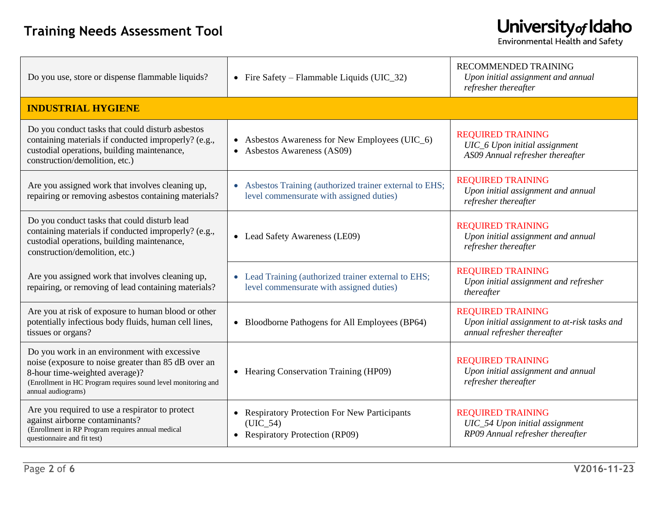| Do you use, store or dispense flammable liquids?                                                                                                                                                                             | • Fire Safety – Flammable Liquids (UIC_32)                                                           | RECOMMENDED TRAINING<br>Upon initial assignment and annual<br>refresher thereafter                      |
|------------------------------------------------------------------------------------------------------------------------------------------------------------------------------------------------------------------------------|------------------------------------------------------------------------------------------------------|---------------------------------------------------------------------------------------------------------|
| <b>INDUSTRIAL HYGIENE</b>                                                                                                                                                                                                    |                                                                                                      |                                                                                                         |
| Do you conduct tasks that could disturb asbestos<br>containing materials if conducted improperly? (e.g.,<br>custodial operations, building maintenance,<br>construction/demolition, etc.)                                    | • Asbestos Awareness for New Employees (UIC_6)<br>Asbestos Awareness (AS09)                          | <b>REQUIRED TRAINING</b><br>UIC_6 Upon initial assignment<br>AS09 Annual refresher thereafter           |
| Are you assigned work that involves cleaning up,<br>repairing or removing asbestos containing materials?                                                                                                                     | • Asbestos Training (authorized trainer external to EHS;<br>level commensurate with assigned duties) | <b>REQUIRED TRAINING</b><br>Upon initial assignment and annual<br>refresher thereafter                  |
| Do you conduct tasks that could disturb lead<br>containing materials if conducted improperly? (e.g.,<br>custodial operations, building maintenance,<br>construction/demolition, etc.)                                        | • Lead Safety Awareness (LE09)                                                                       | <b>REQUIRED TRAINING</b><br>Upon initial assignment and annual<br>refresher thereafter                  |
| Are you assigned work that involves cleaning up,<br>repairing, or removing of lead containing materials?                                                                                                                     | • Lead Training (authorized trainer external to EHS;<br>level commensurate with assigned duties)     | <b>REQUIRED TRAINING</b><br>Upon initial assignment and refresher<br>thereafter                         |
| Are you at risk of exposure to human blood or other<br>potentially infectious body fluids, human cell lines,<br>tissues or organs?                                                                                           | • Bloodborne Pathogens for All Employees (BP64)                                                      | <b>REQUIRED TRAINING</b><br>Upon initial assignment to at-risk tasks and<br>annual refresher thereafter |
| Do you work in an environment with excessive<br>noise (exposure to noise greater than 85 dB over an<br>8-hour time-weighted average)?<br>(Enrollment in HC Program requires sound level monitoring and<br>annual audiograms) | • Hearing Conservation Training (HP09)                                                               | <b>REQUIRED TRAINING</b><br>Upon initial assignment and annual<br>refresher thereafter                  |
| Are you required to use a respirator to protect<br>against airborne contaminants?<br>(Enrollment in RP Program requires annual medical<br>questionnaire and fit test)                                                        | • Respiratory Protection For New Participants<br>(UIC 54)<br>• Respiratory Protection (RP09)         | <b>REQUIRED TRAINING</b><br>UIC_54 Upon initial assignment<br>RP09 Annual refresher thereafter          |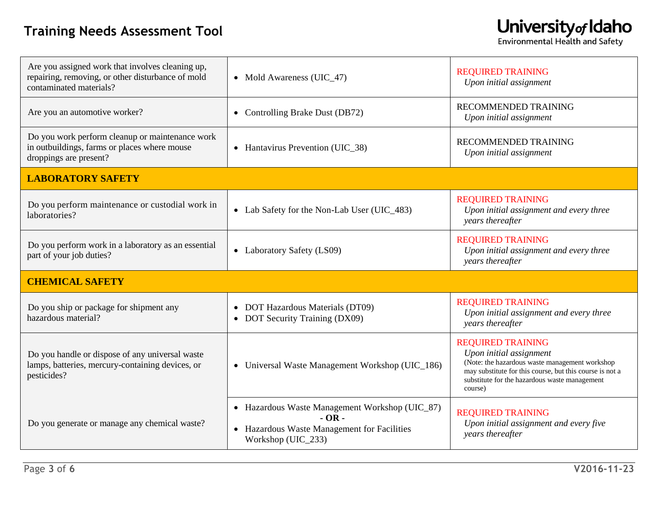#### **Training Needs Assessment Tool**

| Are you assigned work that involves cleaning up,<br>repairing, removing, or other disturbance of mold<br>contaminated materials? | • Mold Awareness (UIC_47)                                                                                                      | <b>REQUIRED TRAINING</b><br>Upon initial assignment                                                                                                                                                                           |
|----------------------------------------------------------------------------------------------------------------------------------|--------------------------------------------------------------------------------------------------------------------------------|-------------------------------------------------------------------------------------------------------------------------------------------------------------------------------------------------------------------------------|
| Are you an automotive worker?                                                                                                    | Controlling Brake Dust (DB72)<br>$\bullet$                                                                                     | RECOMMENDED TRAINING<br>Upon initial assignment                                                                                                                                                                               |
| Do you work perform cleanup or maintenance work<br>in outbuildings, farms or places where mouse<br>droppings are present?        | • Hantavirus Prevention (UIC_38)                                                                                               | RECOMMENDED TRAINING<br>Upon initial assignment                                                                                                                                                                               |
| <b>LABORATORY SAFETY</b>                                                                                                         |                                                                                                                                |                                                                                                                                                                                                                               |
| Do you perform maintenance or custodial work in<br>laboratories?                                                                 | • Lab Safety for the Non-Lab User (UIC_483)                                                                                    | <b>REQUIRED TRAINING</b><br>Upon initial assignment and every three<br>years thereafter                                                                                                                                       |
| Do you perform work in a laboratory as an essential<br>part of your job duties?                                                  | • Laboratory Safety (LS09)                                                                                                     | <b>REQUIRED TRAINING</b><br>Upon initial assignment and every three<br>years thereafter                                                                                                                                       |
| <b>CHEMICAL SAFETY</b>                                                                                                           |                                                                                                                                |                                                                                                                                                                                                                               |
| Do you ship or package for shipment any<br>hazardous material?                                                                   | • DOT Hazardous Materials (DT09)<br>• DOT Security Training (DX09)                                                             | <b>REQUIRED TRAINING</b><br>Upon initial assignment and every three<br>years thereafter                                                                                                                                       |
| Do you handle or dispose of any universal waste<br>lamps, batteries, mercury-containing devices, or<br>pesticides?               | • Universal Waste Management Workshop (UIC_186)                                                                                | <b>REQUIRED TRAINING</b><br>Upon initial assignment<br>(Note: the hazardous waste management workshop<br>may substitute for this course, but this course is not a<br>substitute for the hazardous waste management<br>course) |
| Do you generate or manage any chemical waste?                                                                                    | • Hazardous Waste Management Workshop (UIC_87)<br>$-OR -$<br>• Hazardous Waste Management for Facilities<br>Workshop (UIC_233) | <b>REQUIRED TRAINING</b><br>Upon initial assignment and every five<br>years thereafter                                                                                                                                        |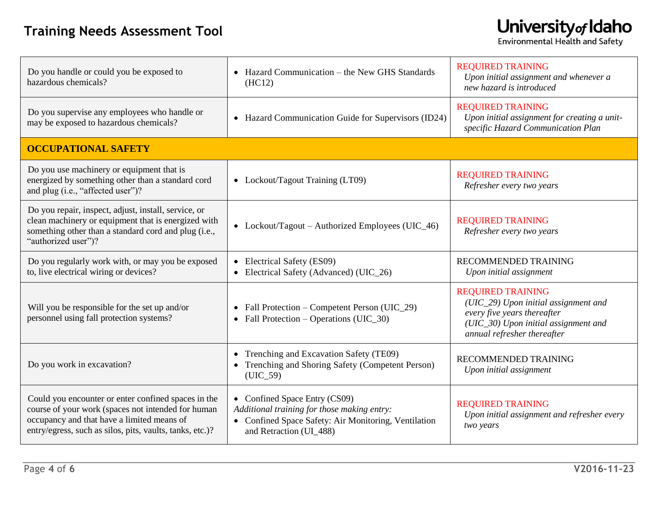| Do you handle or could you be exposed to<br>hazardous chemicals?                                                                                                                                                    | • Hazard Communication – the New GHS Standards<br>(HC12)                                                                                                        | <b>REQUIRED TRAINING</b><br>Upon initial assignment and whenever a<br>new hazard is introduced                                                                         |
|---------------------------------------------------------------------------------------------------------------------------------------------------------------------------------------------------------------------|-----------------------------------------------------------------------------------------------------------------------------------------------------------------|------------------------------------------------------------------------------------------------------------------------------------------------------------------------|
| Do you supervise any employees who handle or<br>may be exposed to hazardous chemicals?                                                                                                                              | • Hazard Communication Guide for Supervisors (ID24)                                                                                                             | <b>REQUIRED TRAINING</b><br>Upon initial assignment for creating a unit-<br>specific Hazard Communication Plan                                                         |
| <b>OCCUPATIONAL SAFETY</b>                                                                                                                                                                                          |                                                                                                                                                                 |                                                                                                                                                                        |
| Do you use machinery or equipment that is<br>energized by something other than a standard cord<br>and plug (i.e., "affected user")?                                                                                 | • Lockout/Tagout Training (LT09)                                                                                                                                | <b>REQUIRED TRAINING</b><br>Refresher every two years                                                                                                                  |
| Do you repair, inspect, adjust, install, service, or<br>clean machinery or equipment that is energized with<br>something other than a standard cord and plug (i.e.,<br>"authorized user")?                          | • Lockout/Tagout – Authorized Employees (UIC_46)                                                                                                                | <b>REQUIRED TRAINING</b><br>Refresher every two years                                                                                                                  |
| Do you regularly work with, or may you be exposed<br>to, live electrical wiring or devices?                                                                                                                         | • Electrical Safety (ES09)<br>Electrical Safety (Advanced) (UIC_26)<br>$\bullet$                                                                                | RECOMMENDED TRAINING<br>Upon initial assignment                                                                                                                        |
| Will you be responsible for the set up and/or<br>personnel using fall protection systems?                                                                                                                           | • Fall Protection – Competent Person (UIC_29)<br>• Fall Protection – Operations (UIC_30)                                                                        | <b>REQUIRED TRAINING</b><br>(UIC_29) Upon initial assignment and<br>every five years thereafter<br>(UIC_30) Upon initial assignment and<br>annual refresher thereafter |
| Do you work in excavation?                                                                                                                                                                                          | Trenching and Excavation Safety (TE09)<br>Trenching and Shoring Safety (Competent Person)<br>$(UIC_59)$                                                         | RECOMMENDED TRAINING<br>Upon initial assignment                                                                                                                        |
| Could you encounter or enter confined spaces in the<br>course of your work (spaces not intended for human<br>occupancy and that have a limited means of<br>entry/egress, such as silos, pits, vaults, tanks, etc.)? | • Confined Space Entry (CS09)<br>Additional training for those making entry:<br>• Confined Space Safety: Air Monitoring, Ventilation<br>and Retraction (UI_488) | <b>REQUIRED TRAINING</b><br>Upon initial assignment and refresher every<br>two years                                                                                   |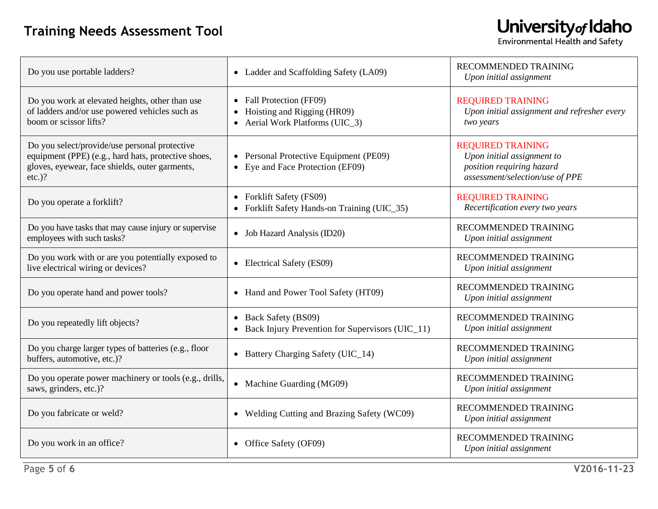┑

| Do you use portable ladders?                                                                                                                                        | • Ladder and Scaffolding Safety (LA09)                                                   | <b>RECOMMENDED TRAINING</b><br>Upon initial assignment                                                                 |
|---------------------------------------------------------------------------------------------------------------------------------------------------------------------|------------------------------------------------------------------------------------------|------------------------------------------------------------------------------------------------------------------------|
| Do you work at elevated heights, other than use<br>of ladders and/or use powered vehicles such as<br>boom or scissor lifts?                                         | • Fall Protection (FF09)<br>Hoisting and Rigging (HR09)<br>Aerial Work Platforms (UIC 3) | <b>REQUIRED TRAINING</b><br>Upon initial assignment and refresher every<br>two years                                   |
| Do you select/provide/use personal protective<br>equipment (PPE) (e.g., hard hats, protective shoes,<br>gloves, eyewear, face shields, outer garments,<br>$etc.$ )? | • Personal Protective Equipment (PE09)<br>• Eye and Face Protection (EF09)               | <b>REQUIRED TRAINING</b><br>Upon initial assignment to<br>position requiring hazard<br>assessment/selection/use of PPE |
| Do you operate a forklift?                                                                                                                                          | • Forklift Safety (FS09)<br>Forklift Safety Hands-on Training (UIC_35)                   | <b>REQUIRED TRAINING</b><br>Recertification every two years                                                            |
| Do you have tasks that may cause injury or supervise<br>employees with such tasks?                                                                                  | • Job Hazard Analysis (ID20)                                                             | RECOMMENDED TRAINING<br>Upon initial assignment                                                                        |
| Do you work with or are you potentially exposed to<br>live electrical wiring or devices?                                                                            | • Electrical Safety (ES09)                                                               | RECOMMENDED TRAINING<br>Upon initial assignment                                                                        |
| Do you operate hand and power tools?                                                                                                                                | • Hand and Power Tool Safety (HT09)                                                      | RECOMMENDED TRAINING<br>Upon initial assignment                                                                        |
| Do you repeatedly lift objects?                                                                                                                                     | Back Safety (BS09)<br>Back Injury Prevention for Supervisors (UIC_11)                    | RECOMMENDED TRAINING<br>Upon initial assignment                                                                        |
| Do you charge larger types of batteries (e.g., floor<br>buffers, automotive, etc.)?                                                                                 | • Battery Charging Safety (UIC_14)                                                       | RECOMMENDED TRAINING<br>Upon initial assignment                                                                        |
| Do you operate power machinery or tools (e.g., drills,<br>saws, grinders, etc.)?                                                                                    | • Machine Guarding (MG09)                                                                | RECOMMENDED TRAINING<br>Upon initial assignment                                                                        |
| Do you fabricate or weld?                                                                                                                                           | • Welding Cutting and Brazing Safety (WC09)                                              | RECOMMENDED TRAINING<br>Upon initial assignment                                                                        |
| Do you work in an office?                                                                                                                                           | • Office Safety (OF09)                                                                   | <b>RECOMMENDED TRAINING</b><br>Upon initial assignment                                                                 |